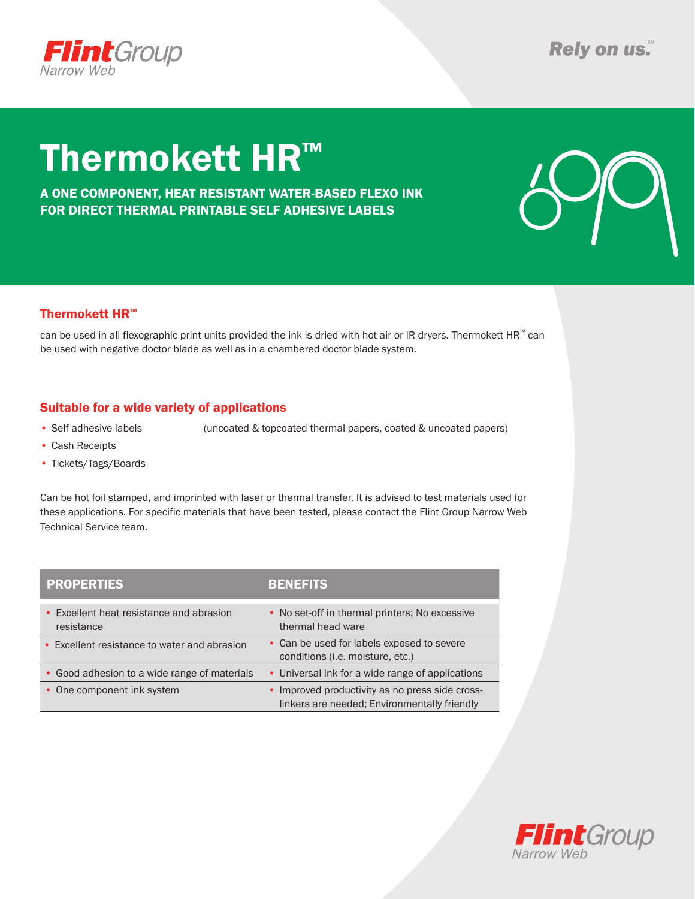

# Thermokett HR™

A ONE COMPONENT, HEAT RESISTANT WATER-BASED FLEXO INK FOR DIRECT THERMAL PRINTABLE SELF ADHESIVE LABELS



### Thermokett HR™

can be used in all flexographic print units provided the ink is dried with hot air or IR dryers. Thermokett  $HR<sup>m</sup>$  can be used with negative doctor blade as well as in a chambered doctor blade system.

### Suitable for a wide variety of applications

• Self adhesive labels (uncoated & topcoated thermal papers, coated & uncoated papers)

- • Cash Receipts
- Tickets/Tags/Boards

Can be hot foil stamped, and imprinted with laser or thermal transfer. It is advised to test materials used for these applications. For specific materials that have been tested, please contact the Flint Group Narrow Web Technical Service team.

| <b>PROPERTIES</b>                                      | <b>BENEFITS</b>                                                                                 |
|--------------------------------------------------------|-------------------------------------------------------------------------------------------------|
| • Excellent heat resistance and abrasion<br>resistance | • No set-off in thermal printers; No excessive<br>thermal head ware                             |
| • Excellent resistance to water and abrasion           | • Can be used for labels exposed to severe<br>conditions (i.e. moisture, etc.)                  |
| • Good adhesion to a wide range of materials           | • Universal ink for a wide range of applications                                                |
| • One component ink system                             | • Improved productivity as no press side cross-<br>linkers are needed; Environmentally friendly |